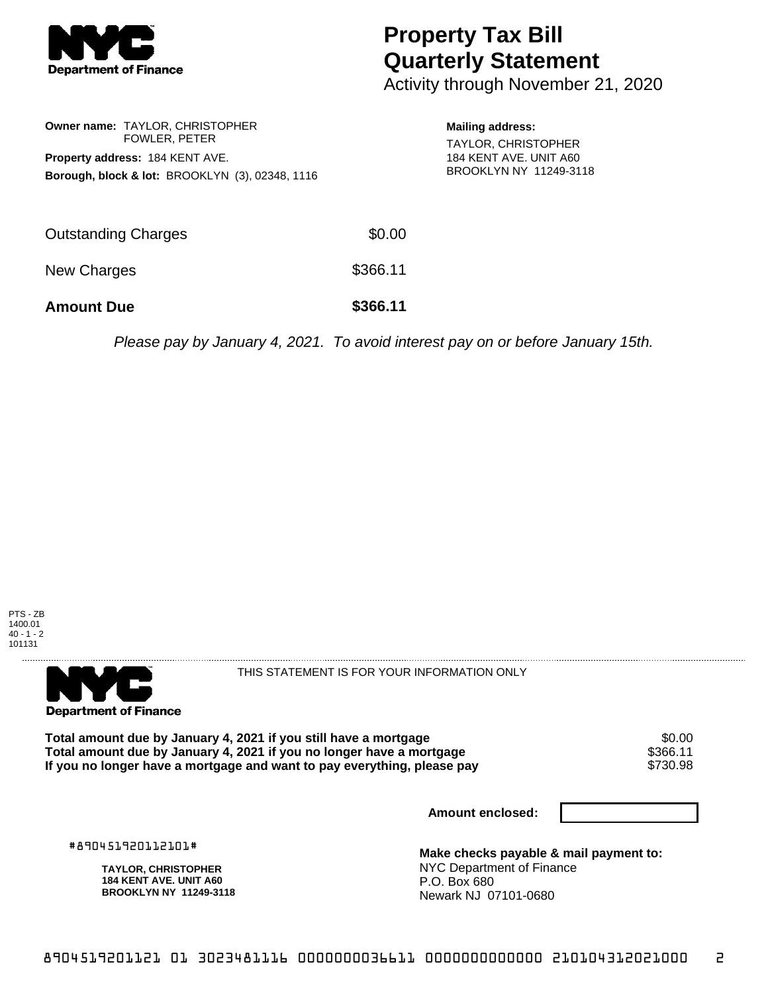

## **Property Tax Bill Quarterly Statement**

Activity through November 21, 2020

|                                                            | Owner name: TAYLOR, CHRISTOPHER |  |  |  |
|------------------------------------------------------------|---------------------------------|--|--|--|
|                                                            | <b>FOWLER, PETER</b>            |  |  |  |
| Property address: 184 KENT AVE.                            |                                 |  |  |  |
| <b>Borough, block &amp; lot: BROOKLYN (3), 02348, 1116</b> |                                 |  |  |  |

**Mailing address:** TAYLOR, CHRISTOPHER 184 KENT AVE. UNIT A60 BROOKLYN NY 11249-3118

| <b>Amount Due</b>   | \$366.11 |
|---------------------|----------|
| New Charges         | \$366.11 |
| Outstanding Charges | \$0.00   |

Please pay by January 4, 2021. To avoid interest pay on or before January 15th.





THIS STATEMENT IS FOR YOUR INFORMATION ONLY

Total amount due by January 4, 2021 if you still have a mortgage  $$0.00$ <br>Total amount due by January 4, 2021 if you no longer have a mortgage  $$366.11$ **Total amount due by January 4, 2021 if you no longer have a mortgage \$366.11**<br>If you no longer have a mortgage and want to pay everything, please pay \$730.98 If you no longer have a mortgage and want to pay everything, please pay

**Amount enclosed:**

#890451920112101#

**TAYLOR, CHRISTOPHER 184 KENT AVE. UNIT A60 BROOKLYN NY 11249-3118**

**Make checks payable & mail payment to:** NYC Department of Finance P.O. Box 680 Newark NJ 07101-0680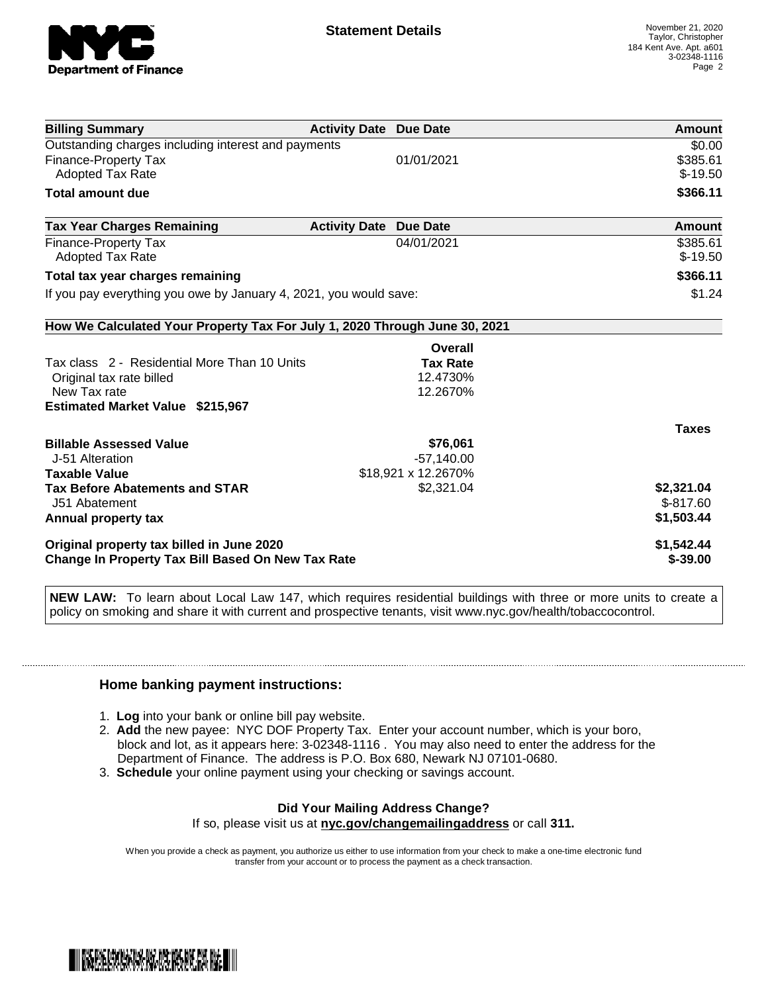

| <b>Billing Summary</b>                                                                                | <b>Activity Date Due Date</b> |                     | Amount       |
|-------------------------------------------------------------------------------------------------------|-------------------------------|---------------------|--------------|
| Outstanding charges including interest and payments                                                   |                               |                     | \$0.00       |
| <b>Finance-Property Tax</b>                                                                           |                               | 01/01/2021          | \$385.61     |
| <b>Adopted Tax Rate</b>                                                                               |                               |                     | $$-19.50$    |
| <b>Total amount due</b>                                                                               |                               |                     | \$366.11     |
| <b>Tax Year Charges Remaining</b>                                                                     | <b>Activity Date</b>          | <b>Due Date</b>     | Amount       |
| <b>Finance-Property Tax</b>                                                                           |                               | 04/01/2021          | \$385.61     |
| <b>Adopted Tax Rate</b>                                                                               |                               |                     | $$-19.50$    |
| Total tax year charges remaining                                                                      | \$366.11                      |                     |              |
| If you pay everything you owe by January 4, 2021, you would save:                                     | \$1.24                        |                     |              |
| How We Calculated Your Property Tax For July 1, 2020 Through June 30, 2021                            |                               |                     |              |
|                                                                                                       |                               | Overall             |              |
| Tax class 2 - Residential More Than 10 Units                                                          |                               | <b>Tax Rate</b>     |              |
| Original tax rate billed                                                                              |                               | 12.4730%            |              |
| New Tax rate                                                                                          |                               | 12.2670%            |              |
| <b>Estimated Market Value \$215,967</b>                                                               |                               |                     |              |
|                                                                                                       |                               |                     | <b>Taxes</b> |
| <b>Billable Assessed Value</b>                                                                        |                               | \$76,061            |              |
| J-51 Alteration                                                                                       |                               | $-57,140.00$        |              |
| <b>Taxable Value</b>                                                                                  |                               | \$18,921 x 12.2670% |              |
| <b>Tax Before Abatements and STAR</b>                                                                 |                               | \$2,321.04          | \$2,321.04   |
| J51 Abatement                                                                                         |                               |                     | $$-817.60$   |
| Annual property tax                                                                                   |                               |                     | \$1,503.44   |
| Original property tax billed in June 2020<br><b>Change In Property Tax Bill Based On New Tax Rate</b> | \$1,542.44<br>$$ -39.00$      |                     |              |

**NEW LAW:** To learn about Local Law 147, which requires residential buildings with three or more units to create a policy on smoking and share it with current and prospective tenants, visit www.nyc.gov/health/tobaccocontrol.

## **Home banking payment instructions:**

- 1. **Log** into your bank or online bill pay website.
- 2. **Add** the new payee: NYC DOF Property Tax. Enter your account number, which is your boro, block and lot, as it appears here: 3-02348-1116 . You may also need to enter the address for the Department of Finance. The address is P.O. Box 680, Newark NJ 07101-0680.
- 3. **Schedule** your online payment using your checking or savings account.

## **Did Your Mailing Address Change?** If so, please visit us at **nyc.gov/changemailingaddress** or call **311.**

When you provide a check as payment, you authorize us either to use information from your check to make a one-time electronic fund transfer from your account or to process the payment as a check transaction.